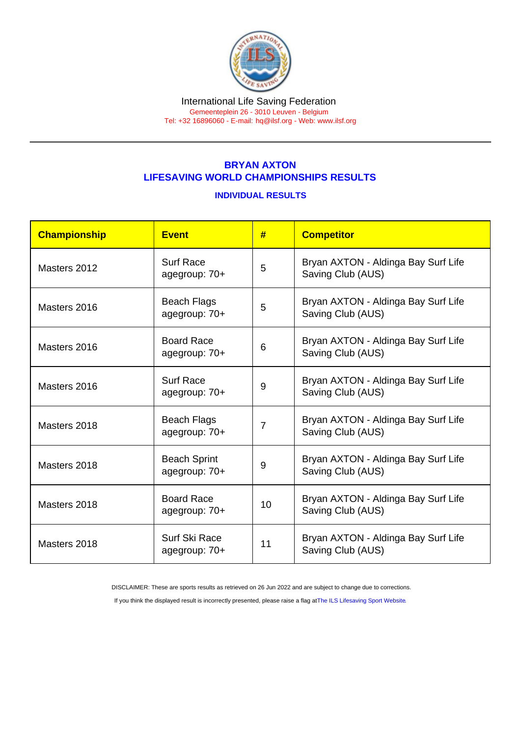#### International Life Saving Federation Gemeenteplein 26 - 3010 Leuven - Belgium

Tel: +32 16896060 - E-mail: [hq@ilsf.org](mailto:hq@ilsf.org) - Web: [www.ilsf.org](https://www.ilsf.org)

## BRYAN AXTON LIFESAVING WORLD CHAMPIONSHIPS RESULTS

### INDIVIDUAL RESULTS

| Championship | <b>Event</b>                         | #              | <b>Competitor</b>                                        |
|--------------|--------------------------------------|----------------|----------------------------------------------------------|
| Masters 2012 | <b>Surf Race</b><br>agegroup: 70+    | 5              | Bryan AXTON - Aldinga Bay Surf Life<br>Saving Club (AUS) |
| Masters 2016 | <b>Beach Flags</b><br>agegroup: 70+  | 5              | Bryan AXTON - Aldinga Bay Surf Life<br>Saving Club (AUS) |
| Masters 2016 | <b>Board Race</b><br>agegroup: 70+   | 6              | Bryan AXTON - Aldinga Bay Surf Life<br>Saving Club (AUS) |
| Masters 2016 | <b>Surf Race</b><br>agegroup: 70+    | 9              | Bryan AXTON - Aldinga Bay Surf Life<br>Saving Club (AUS) |
| Masters 2018 | <b>Beach Flags</b><br>agegroup: 70+  | $\overline{7}$ | Bryan AXTON - Aldinga Bay Surf Life<br>Saving Club (AUS) |
| Masters 2018 | <b>Beach Sprint</b><br>agegroup: 70+ | 9              | Bryan AXTON - Aldinga Bay Surf Life<br>Saving Club (AUS) |
| Masters 2018 | <b>Board Race</b><br>agegroup: 70+   | 10             | Bryan AXTON - Aldinga Bay Surf Life<br>Saving Club (AUS) |
| Masters 2018 | Surf Ski Race<br>agegroup: 70+       | 11             | Bryan AXTON - Aldinga Bay Surf Life<br>Saving Club (AUS) |

DISCLAIMER: These are sports results as retrieved on 26 Jun 2022 and are subject to change due to corrections.

If you think the displayed result is incorrectly presented, please raise a flag at [The ILS Lifesaving Sport Website.](https://sport.ilsf.org)